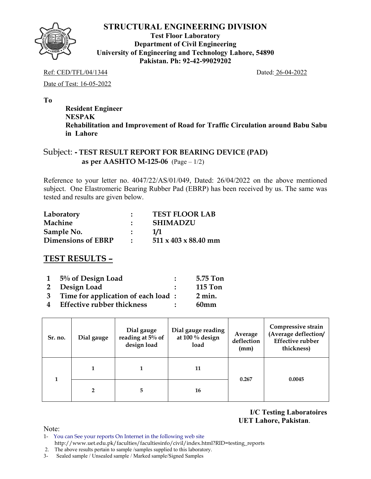

**Test Floor Laboratory Department of Civil Engineering University of Engineering and Technology Lahore, 54890 Pakistan. Ph: 92-42-99029202** 

Ref: CED/TFL/04/1344 Dated: 26-04-2022

Date of Test: 16-05-2022

**To** 

 **Resident Engineer NESPAK Rehabilitation and Improvement of Road for Traffic Circulation around Babu Sabu in Lahore** 

### Subject: **- TEST RESULT REPORT FOR BEARING DEVICE (PAD) as per AASHTO M-125-06** (Page – 1/2)

Reference to your letter no. 4047/22/AS/01/049, Dated: 26/04/2022 on the above mentioned subject. One Elastromeric Bearing Rubber Pad (EBRP) has been received by us. The same was tested and results are given below.

| Laboratory                | <b>TEST FLOOR LAB</b>            |
|---------------------------|----------------------------------|
| Machine                   | <b>SHIMADZU</b>                  |
| Sample No.                | 1/1                              |
| <b>Dimensions of EBRP</b> | $511 \times 403 \times 88.40$ mm |

# **TEST RESULTS –**

|   | 1 5% of Design Load                  | 5.75 Ton         |
|---|--------------------------------------|------------------|
|   | 2 Design Load                        | <b>115 Ton</b>   |
|   | 3 Time for application of each load: | $2 \text{ min.}$ |
| 4 | <b>Effective rubber thickness</b>    | 60 <sub>mm</sub> |

| Sr. no. | Dial gauge     | Dial gauge<br>reading at 5% of<br>design load | Dial gauge reading<br>at $100\%$ design<br>load | Average<br>deflection<br>(mm) | Compressive strain<br>(Average deflection/<br><b>Effective rubber</b><br>thickness) |  |
|---------|----------------|-----------------------------------------------|-------------------------------------------------|-------------------------------|-------------------------------------------------------------------------------------|--|
|         | 11             | 0.267                                         | 0.0045                                          |                               |                                                                                     |  |
|         | $\overline{2}$ | 5                                             | 16                                              |                               |                                                                                     |  |

**I/C Testing Laboratoires UET Lahore, Pakistan**.

- 1- You can See your reports On Internet in the following web site http://www.uet.edu.pk/faculties/facultiesinfo/civil/index.html?RID=testing\_reports
- 2. The above results pertain to sample /samples supplied to this laboratory.
- 3- Sealed sample / Unsealed sample / Marked sample/Signed Samples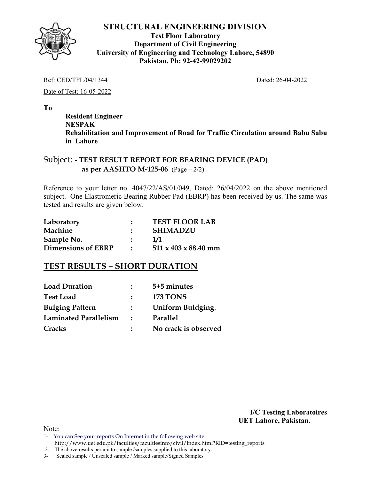

**Test Floor Laboratory Department of Civil Engineering University of Engineering and Technology Lahore, 54890 Pakistan. Ph: 92-42-99029202** 

#### Ref: CED/TFL/04/1344 Dated: 26-04-2022

Date of Test: 16-05-2022

**To** 

 **Resident Engineer NESPAK Rehabilitation and Improvement of Road for Traffic Circulation around Babu Sabu in Lahore** 

### Subject: **- TEST RESULT REPORT FOR BEARING DEVICE (PAD) as per AASHTO M-125-06** (Page – 2/2)

Reference to your letter no. 4047/22/AS/01/049, Dated: 26/04/2022 on the above mentioned subject. One Elastromeric Bearing Rubber Pad (EBRP) has been received by us. The same was tested and results are given below.

| Laboratory                | <b>TEST FLOOR LAB</b>            |
|---------------------------|----------------------------------|
| Machine                   | <b>SHIMADZU</b>                  |
| Sample No.                | 1/1                              |
| <b>Dimensions of EBRP</b> | $511 \times 403 \times 88.40$ mm |

## **TEST RESULTS – SHORT DURATION**

| <b>Load Duration</b>   |               | 5+5 minutes          |
|------------------------|---------------|----------------------|
| <b>Test Load</b>       |               | <b>173 TONS</b>      |
| <b>Bulging Pattern</b> | $\mathcal{L}$ | Uniform Buldging.    |
| Laminated Parallelism  | $\mathcal{L}$ | Parallel             |
| Cracks                 |               | No crack is observed |

**I/C Testing Laboratoires UET Lahore, Pakistan**.

- 1- You can See your reports On Internet in the following web site http://www.uet.edu.pk/faculties/facultiesinfo/civil/index.html?RID=testing\_reports
- 2. The above results pertain to sample /samples supplied to this laboratory.
- 3- Sealed sample / Unsealed sample / Marked sample/Signed Samples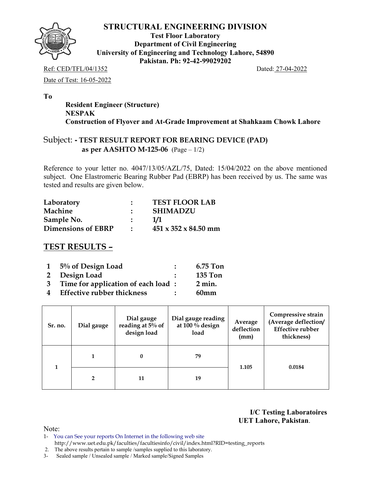

**Test Floor Laboratory Department of Civil Engineering University of Engineering and Technology Lahore, 54890 Pakistan. Ph: 92-42-99029202** 

Ref: CED/TFL/04/1352 Dated: 27-04-2022

Date of Test: 16-05-2022

**To** 

 **Resident Engineer (Structure) NESPAK Construction of Flyover and At-Grade Improvement at Shahkaam Chowk Lahore** 

## Subject: **- TEST RESULT REPORT FOR BEARING DEVICE (PAD) as per AASHTO M-125-06** (Page – 1/2)

Reference to your letter no. 4047/13/05/AZL/75, Dated: 15/04/2022 on the above mentioned subject. One Elastromeric Bearing Rubber Pad (EBRP) has been received by us. The same was tested and results are given below.

| Laboratory                | $\bullet$     | <b>TEST FLOOR LAB</b>            |
|---------------------------|---------------|----------------------------------|
| Machine                   |               | <b>SHIMADZU</b>                  |
| Sample No.                | $\sim$ $\sim$ | 1/1                              |
| <b>Dimensions of EBRP</b> | $\bullet$     | $451 \times 352 \times 84.50$ mm |

# **TEST RESULTS –**

|              | $1\quad 5\%$ of Design Load        | 6.75 Ton         |
|--------------|------------------------------------|------------------|
|              | 2 Design Load                      | <b>135 Ton</b>   |
| $\mathbf{3}$ | Time for application of each load: | $2 \text{ min.}$ |
| 4            | <b>Effective rubber thickness</b>  | 60 <sub>mm</sub> |

| Sr. no. | Dial gauge | Dial gauge<br>reading at 5% of<br>design load | Dial gauge reading<br>at 100 % design<br>load | Average<br>deflection<br>(mm) | Compressive strain<br>(Average deflection/<br><b>Effective rubber</b><br>thickness) |
|---------|------------|-----------------------------------------------|-----------------------------------------------|-------------------------------|-------------------------------------------------------------------------------------|
|         |            | 0                                             | 79                                            | 1.105                         | 0.0184                                                                              |
|         |            | 11                                            | 19                                            |                               |                                                                                     |

**I/C Testing Laboratoires UET Lahore, Pakistan**.

Note:

1- You can See your reports On Internet in the following web site http://www.uet.edu.pk/faculties/facultiesinfo/civil/index.html?RID=testing\_reports

2. The above results pertain to sample /samples supplied to this laboratory.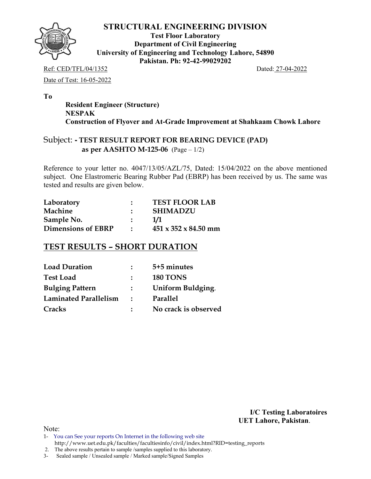

**Test Floor Laboratory Department of Civil Engineering University of Engineering and Technology Lahore, 54890 Pakistan. Ph: 92-42-99029202** 

Ref: CED/TFL/04/1352 Dated: 27-04-2022 Date of Test: 16-05-2022

**To** 

 **Resident Engineer (Structure) NESPAK Construction of Flyover and At-Grade Improvement at Shahkaam Chowk Lahore** 

## Subject: **- TEST RESULT REPORT FOR BEARING DEVICE (PAD) as per AASHTO M-125-06** (Page – 1/2)

Reference to your letter no. 4047/13/05/AZL/75, Dated: 15/04/2022 on the above mentioned subject. One Elastromeric Bearing Rubber Pad (EBRP) has been received by us. The same was tested and results are given below.

| Laboratory                | <b>TEST FLOOR LAB</b>            |
|---------------------------|----------------------------------|
| Machine                   | <b>SHIMADZU</b>                  |
| Sample No.                | 1/1                              |
| <b>Dimensions of EBRP</b> | $451 \times 352 \times 84.50$ mm |

# **TEST RESULTS – SHORT DURATION**

| <b>Load Duration</b>   | $\mathbb{R}^n$    | 5+5 minutes          |
|------------------------|-------------------|----------------------|
| <b>Test Load</b>       |                   | <b>180 TONS</b>      |
| <b>Bulging Pattern</b> | $\mathbf{L}$      | Uniform Buldging.    |
| Laminated Parallelism  | $\sim$ 100 $\sim$ | Parallel             |
| Cracks                 |                   | No crack is observed |

**I/C Testing Laboratoires UET Lahore, Pakistan**.

Note:

1- You can See your reports On Internet in the following web site http://www.uet.edu.pk/faculties/facultiesinfo/civil/index.html?RID=testing\_reports

2. The above results pertain to sample /samples supplied to this laboratory.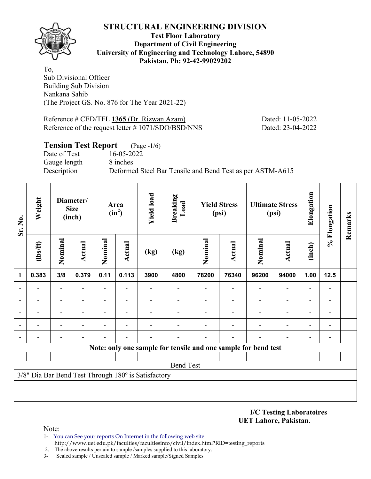

**Test Floor Laboratory Department of Civil Engineering University of Engineering and Technology Lahore, 54890 Pakistan. Ph: 92-42-99029202** 

To, Sub Divisional Officer Building Sub Division Nankana Sahib (The Project GS. No. 876 for The Year 2021-22)

Reference # CED/TFL **1365** (Dr. Rizwan Azam) Dated: 11-05-2022 Reference of the request letter # 1071/SDO/BSD/NNS Dated: 23-04-2022

### **Tension Test Report** (Page -1/6)

Date of Test 16-05-2022 Gauge length 8 inches

Description Deformed Steel Bar Tensile and Bend Test as per ASTM-A615

| Sr. No.                  | Weight         | Diameter/<br><b>Size</b><br>(inch) |                          | <b>Yield load</b><br>Area<br>$(in^2)$ |                          | <b>Breaking</b><br>Load                             |                  | <b>Yield Stress</b><br>(psi) |                                                                | <b>Ultimate Stress</b><br>(psi) | Elongation                   | % Elongation             | Remarks                  |  |
|--------------------------|----------------|------------------------------------|--------------------------|---------------------------------------|--------------------------|-----------------------------------------------------|------------------|------------------------------|----------------------------------------------------------------|---------------------------------|------------------------------|--------------------------|--------------------------|--|
|                          | $\frac{2}{10}$ | Nominal                            | <b>Actual</b>            | Nominal                               | <b>Actual</b>            | (kg)                                                | (kg)             | Nominal                      | <b>Actual</b>                                                  | Nominal                         | <b>Actual</b>                | (inch)                   |                          |  |
| -1                       | 0.383          | 3/8                                | 0.379                    | 0.11                                  | 0.113                    | 3900                                                | 4800             | 78200                        | 76340                                                          | 96200                           | 94000                        | 1.00                     | $12.5$                   |  |
|                          |                | $\blacksquare$                     | $\overline{\phantom{0}}$ | $\overline{\phantom{a}}$              |                          |                                                     |                  |                              |                                                                | $\overline{\phantom{0}}$        | $\qquad \qquad \blacksquare$ |                          | $\qquad \qquad$          |  |
| $\blacksquare$           |                | $\overline{\phantom{0}}$           |                          |                                       |                          |                                                     |                  |                              |                                                                |                                 | $\overline{\phantom{0}}$     |                          | $\overline{a}$           |  |
| $\overline{\phantom{a}}$ |                | $\overline{\phantom{0}}$           |                          |                                       |                          |                                                     |                  |                              |                                                                |                                 |                              |                          | $\overline{a}$           |  |
| $\overline{\phantom{a}}$ | $\blacksquare$ | $\blacksquare$                     | $\overline{\phantom{0}}$ |                                       | $\overline{\phantom{0}}$ |                                                     |                  |                              |                                                                | $\overline{\phantom{0}}$        | $\overline{\phantom{0}}$     | $\overline{\phantom{0}}$ | $\overline{\phantom{a}}$ |  |
| $\overline{\phantom{a}}$ | $\overline{a}$ | $\qquad \qquad \blacksquare$       |                          |                                       |                          |                                                     |                  |                              | $\overline{\phantom{0}}$                                       |                                 | $\overline{\phantom{0}}$     | $\blacksquare$           | $\overline{a}$           |  |
|                          |                |                                    |                          |                                       |                          |                                                     |                  |                              | Note: only one sample for tensile and one sample for bend test |                                 |                              |                          |                          |  |
|                          |                |                                    |                          |                                       |                          |                                                     |                  |                              |                                                                |                                 |                              |                          |                          |  |
|                          |                |                                    |                          |                                       |                          |                                                     | <b>Bend Test</b> |                              |                                                                |                                 |                              |                          |                          |  |
|                          |                |                                    |                          |                                       |                          | 3/8" Dia Bar Bend Test Through 180° is Satisfactory |                  |                              |                                                                |                                 |                              |                          |                          |  |
|                          |                |                                    |                          |                                       |                          |                                                     |                  |                              |                                                                |                                 |                              |                          |                          |  |
|                          |                |                                    |                          |                                       |                          |                                                     |                  |                              |                                                                |                                 |                              |                          |                          |  |

**I/C Testing Laboratoires UET Lahore, Pakistan**.

- 1- You can See your reports On Internet in the following web site http://www.uet.edu.pk/faculties/facultiesinfo/civil/index.html?RID=testing\_reports
- 2. The above results pertain to sample /samples supplied to this laboratory.
- 3- Sealed sample / Unsealed sample / Marked sample/Signed Samples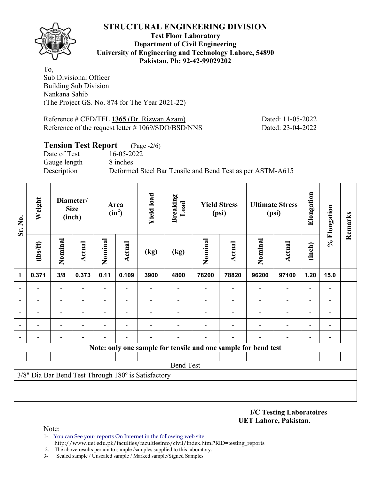

**Test Floor Laboratory Department of Civil Engineering University of Engineering and Technology Lahore, 54890 Pakistan. Ph: 92-42-99029202** 

To, Sub Divisional Officer Building Sub Division Nankana Sahib (The Project GS. No. 874 for The Year 2021-22)

Reference # CED/TFL **1365** (Dr. Rizwan Azam) Dated: 11-05-2022 Reference of the request letter # 1069/SDO/BSD/NNS Dated: 23-04-2022

### **Tension Test Report** (Page -2/6)

Date of Test 16-05-2022 Gauge length 8 inches

Description Deformed Steel Bar Tensile and Bend Test as per ASTM-A615

| Sr. No.                  | Weight<br>Diameter/<br><b>Size</b><br>(inch)                   |                          |                          |                          | Area<br>$(in^2)$         | <b>Yield load</b>                                   | <b>Breaking</b><br>Load | <b>Yield Stress</b><br>(psi) |               | <b>Ultimate Stress</b><br>(psi) |                          | Elongation               | % Elongation             | Remarks |
|--------------------------|----------------------------------------------------------------|--------------------------|--------------------------|--------------------------|--------------------------|-----------------------------------------------------|-------------------------|------------------------------|---------------|---------------------------------|--------------------------|--------------------------|--------------------------|---------|
|                          | $\frac{2}{10}$                                                 | Nominal                  | <b>Actual</b>            | Nominal                  | Actual                   | (kg)                                                | (kg)                    | Nominal                      | <b>Actual</b> | Nominal                         | <b>Actual</b>            | (inch)                   |                          |         |
| 1                        | 0.371                                                          | 3/8                      | 0.373                    | 0.11                     | 0.109                    | 3900                                                | 4800                    | 78200                        | 78820         | 96200                           | 97100                    | 1.20                     | 15.0                     |         |
| $\overline{\phantom{a}}$ |                                                                | $\overline{a}$           |                          | $\overline{\phantom{a}}$ | $\overline{\phantom{0}}$ |                                                     |                         |                              |               | $\blacksquare$                  | $\blacksquare$           |                          | $\overline{a}$           |         |
| $\overline{\phantom{a}}$ |                                                                |                          |                          |                          |                          |                                                     |                         |                              |               |                                 |                          |                          |                          |         |
| $\blacksquare$           |                                                                |                          |                          |                          |                          |                                                     |                         |                              |               |                                 |                          |                          | $\blacksquare$           |         |
| $\overline{\phantom{a}}$ | $\overline{\phantom{0}}$                                       | $\overline{\phantom{0}}$ | $\overline{\phantom{0}}$ |                          | $\blacksquare$           |                                                     |                         |                              |               |                                 | $\overline{\phantom{0}}$ | $\overline{\phantom{0}}$ | $\overline{\phantom{a}}$ |         |
| $\overline{\phantom{a}}$ |                                                                |                          |                          |                          |                          |                                                     |                         |                              |               |                                 | $\overline{\phantom{0}}$ | $\overline{\phantom{0}}$ | $\overline{\phantom{0}}$ |         |
|                          | Note: only one sample for tensile and one sample for bend test |                          |                          |                          |                          |                                                     |                         |                              |               |                                 |                          |                          |                          |         |
|                          |                                                                |                          |                          |                          |                          |                                                     |                         |                              |               |                                 |                          |                          |                          |         |
|                          |                                                                |                          |                          |                          |                          |                                                     | <b>Bend Test</b>        |                              |               |                                 |                          |                          |                          |         |
|                          |                                                                |                          |                          |                          |                          | 3/8" Dia Bar Bend Test Through 180° is Satisfactory |                         |                              |               |                                 |                          |                          |                          |         |
|                          |                                                                |                          |                          |                          |                          |                                                     |                         |                              |               |                                 |                          |                          |                          |         |
|                          |                                                                |                          |                          |                          |                          |                                                     |                         |                              |               |                                 |                          |                          |                          |         |

**I/C Testing Laboratoires UET Lahore, Pakistan**.

- 1- You can See your reports On Internet in the following web site http://www.uet.edu.pk/faculties/facultiesinfo/civil/index.html?RID=testing\_reports
- 2. The above results pertain to sample /samples supplied to this laboratory.
- 3- Sealed sample / Unsealed sample / Marked sample/Signed Samples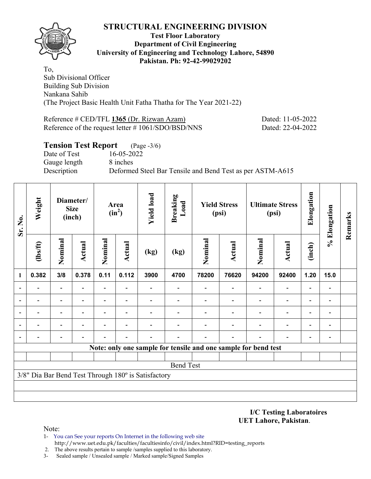

#### **Test Floor Laboratory Department of Civil Engineering University of Engineering and Technology Lahore, 54890 Pakistan. Ph: 92-42-99029202**

To, Sub Divisional Officer Building Sub Division Nankana Sahib (The Project Basic Health Unit Fatha Thatha for The Year 2021-22)

Reference # CED/TFL **1365** (Dr. Rizwan Azam) Dated: 11-05-2022 Reference of the request letter # 1061/SDO/BSD/NNS Dated: 22-04-2022

## **Tension Test Report** (Page -3/6) Date of Test 16-05-2022 Gauge length 8 inches Description Deformed Steel Bar Tensile and Bend Test as per ASTM-A615

| Sr. No.        | Weight         |                                                       | Diameter/<br><b>Size</b><br>(inch) |                | Area<br>$(in^2)$         | <b>Yield load</b>                                   | <b>Breaking</b><br>Load                                        |         | <b>Yield Stress</b><br>(psi) |         | <b>Ultimate Stress</b><br>(psi) | Elongation | % Elongation             | Remarks |
|----------------|----------------|-------------------------------------------------------|------------------------------------|----------------|--------------------------|-----------------------------------------------------|----------------------------------------------------------------|---------|------------------------------|---------|---------------------------------|------------|--------------------------|---------|
|                | $\frac{2}{10}$ | Nominal                                               | Actual                             | Nominal        | <b>Actual</b>            | (kg)                                                | (kg)                                                           | Nominal | <b>Actual</b>                | Nominal | <b>Actual</b>                   | (inch)     |                          |         |
| 1              | 0.382          | 0.11<br>3/8<br>0.378<br>٠<br>$\overline{\phantom{0}}$ |                                    |                | 0.112                    | 3900                                                | 4700                                                           | 78200   | 76620                        | 94200   | 92400                           | 1.20       | 15.0                     |         |
| ٠              |                |                                                       |                                    |                |                          |                                                     |                                                                |         |                              |         | $\overline{\phantom{0}}$        |            |                          |         |
| $\blacksquare$ |                | $\qquad \qquad \blacksquare$                          |                                    | Ξ.             | $\overline{\phantom{a}}$ |                                                     |                                                                |         |                              |         | $\overline{\phantom{0}}$        |            | $\blacksquare$           |         |
| $\blacksquare$ |                | $\blacksquare$                                        |                                    | $\blacksquare$ | $\blacksquare$           |                                                     |                                                                |         |                              |         | $\blacksquare$                  |            | $\overline{\phantom{0}}$ |         |
|                |                |                                                       |                                    |                |                          |                                                     |                                                                |         |                              |         |                                 |            | $\blacksquare$           |         |
| $\overline{a}$ |                |                                                       |                                    |                |                          |                                                     |                                                                |         |                              |         |                                 |            |                          |         |
|                |                |                                                       |                                    |                |                          |                                                     | Note: only one sample for tensile and one sample for bend test |         |                              |         |                                 |            |                          |         |
|                |                |                                                       |                                    |                |                          |                                                     |                                                                |         |                              |         |                                 |            |                          |         |
|                |                |                                                       |                                    |                |                          |                                                     | <b>Bend Test</b>                                               |         |                              |         |                                 |            |                          |         |
|                |                |                                                       |                                    |                |                          | 3/8" Dia Bar Bend Test Through 180° is Satisfactory |                                                                |         |                              |         |                                 |            |                          |         |
|                |                |                                                       |                                    |                |                          |                                                     |                                                                |         |                              |         |                                 |            |                          |         |
|                |                |                                                       |                                    |                |                          |                                                     |                                                                |         |                              |         |                                 |            |                          |         |

**I/C Testing Laboratoires UET Lahore, Pakistan**.

- 1- You can See your reports On Internet in the following web site http://www.uet.edu.pk/faculties/facultiesinfo/civil/index.html?RID=testing\_reports
- 2. The above results pertain to sample /samples supplied to this laboratory.
- 3- Sealed sample / Unsealed sample / Marked sample/Signed Samples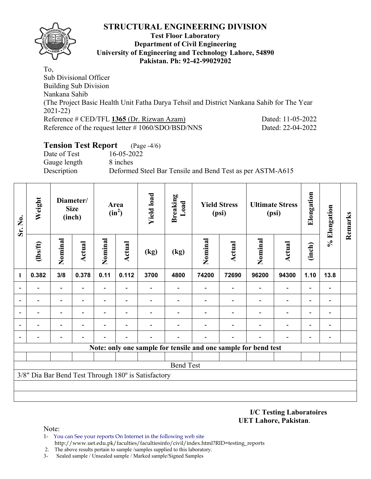

#### **Test Floor Laboratory Department of Civil Engineering University of Engineering and Technology Lahore, 54890 Pakistan. Ph: 92-42-99029202**

To, Sub Divisional Officer Building Sub Division Nankana Sahib (The Project Basic Health Unit Fatha Darya Tehsil and District Nankana Sahib for The Year 2021-22) Reference # CED/TFL **1365** (Dr. Rizwan Azam) Dated: 11-05-2022 Reference of the request letter # 1060/SDO/BSD/NNS Dated: 22-04-2022

## **Tension Test Report** (Page -4/6)

Date of Test 16-05-2022 Gauge length 8 inches Description Deformed Steel Bar Tensile and Bend Test as per ASTM-A615

| Sr. No.                  | Weight         |                                                            | Diameter/<br><b>Size</b><br>(inch) |         | Area<br>$(in^2)$         | <b>Yield load</b>                                   | <b>Breaking</b><br>Load                                        |         | <b>Yield Stress</b><br>(psi) |                          | <b>Ultimate Stress</b><br>(psi) | Elongation               | % Elongation                 | Remarks |
|--------------------------|----------------|------------------------------------------------------------|------------------------------------|---------|--------------------------|-----------------------------------------------------|----------------------------------------------------------------|---------|------------------------------|--------------------------|---------------------------------|--------------------------|------------------------------|---------|
|                          | $\frac{2}{10}$ | Nominal                                                    | <b>Actual</b>                      | Nominal | <b>Actual</b>            | (kg)                                                | (kg)                                                           | Nominal | <b>Actual</b>                | Nominal                  | <b>Actual</b>                   | (inch)                   |                              |         |
| $\mathbf{1}$             | 0.382          | 3/8<br>0.378<br>$\qquad \qquad \blacksquare$               |                                    | 0.11    | 0.112                    | 3700                                                | 4800                                                           | 74200   | 72690                        | 96200                    | 94300                           | 1.10                     | 13.8                         |         |
| ۰                        |                | Ξ.<br>$\qquad \qquad \blacksquare$<br>Ξ.<br>$\blacksquare$ |                                    |         | $\blacksquare$           |                                                     |                                                                |         |                              | $\overline{\phantom{a}}$ | $\blacksquare$                  | $\overline{\phantom{0}}$ |                              |         |
|                          | $\blacksquare$ |                                                            |                                    |         | $\blacksquare$           |                                                     | $\overline{\phantom{0}}$                                       |         | $\overline{\phantom{0}}$     | $\overline{\phantom{a}}$ | $\overline{\phantom{a}}$        | $\overline{\phantom{a}}$ | $\qquad \qquad \blacksquare$ |         |
|                          |                | $\overline{a}$                                             |                                    |         |                          |                                                     |                                                                |         |                              |                          | $\overline{\phantom{0}}$        | $\overline{\phantom{0}}$ |                              |         |
| $\overline{a}$           |                | $\qquad \qquad$                                            |                                    |         | $\overline{\phantom{0}}$ |                                                     |                                                                |         |                              |                          | $\overline{a}$                  | -                        | $\qquad \qquad \blacksquare$ |         |
| $\overline{\phantom{0}}$ |                | $\overline{\phantom{0}}$                                   |                                    |         |                          |                                                     |                                                                |         |                              |                          | $\overline{\phantom{0}}$        | $\overline{\phantom{0}}$ |                              |         |
|                          |                |                                                            |                                    |         |                          |                                                     | Note: only one sample for tensile and one sample for bend test |         |                              |                          |                                 |                          |                              |         |
|                          |                |                                                            |                                    |         |                          |                                                     |                                                                |         |                              |                          |                                 |                          |                              |         |
|                          |                |                                                            |                                    |         |                          |                                                     | <b>Bend Test</b>                                               |         |                              |                          |                                 |                          |                              |         |
|                          |                |                                                            |                                    |         |                          | 3/8" Dia Bar Bend Test Through 180° is Satisfactory |                                                                |         |                              |                          |                                 |                          |                              |         |
|                          |                |                                                            |                                    |         |                          |                                                     |                                                                |         |                              |                          |                                 |                          |                              |         |
|                          |                |                                                            |                                    |         |                          |                                                     |                                                                |         |                              |                          |                                 |                          |                              |         |

#### **I/C Testing Laboratoires UET Lahore, Pakistan**.

- 1- You can See your reports On Internet in the following web site http://www.uet.edu.pk/faculties/facultiesinfo/civil/index.html?RID=testing\_reports
- 2. The above results pertain to sample /samples supplied to this laboratory.
- 3- Sealed sample / Unsealed sample / Marked sample/Signed Samples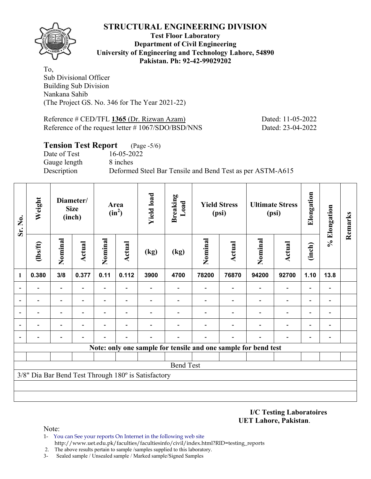

**Test Floor Laboratory Department of Civil Engineering University of Engineering and Technology Lahore, 54890 Pakistan. Ph: 92-42-99029202** 

To, Sub Divisional Officer Building Sub Division Nankana Sahib (The Project GS. No. 346 for The Year 2021-22)

Reference # CED/TFL **1365** (Dr. Rizwan Azam) Dated: 11-05-2022 Reference of the request letter # 1067/SDO/BSD/NNS Dated: 23-04-2022

### **Tension Test Report** (Page -5/6)

Date of Test 16-05-2022 Gauge length 8 inches

Description Deformed Steel Bar Tensile and Bend Test as per ASTM-A615

| Sr. No.                  | Weight         |                                                                              | Diameter/<br><b>Size</b><br>(inch) |         | Area<br>$(in^2)$         | <b>Yield load</b>                                   | <b>Breaking</b><br>Load |         | <b>Yield Stress</b><br>(psi)                                   |                          | <b>Ultimate Stress</b><br>(psi) | Elongation               | % Elongation             | Remarks |
|--------------------------|----------------|------------------------------------------------------------------------------|------------------------------------|---------|--------------------------|-----------------------------------------------------|-------------------------|---------|----------------------------------------------------------------|--------------------------|---------------------------------|--------------------------|--------------------------|---------|
|                          | $\frac{2}{10}$ | Nominal                                                                      | <b>Actual</b>                      | Nominal | <b>Actual</b>            | (kg)                                                | (kg)                    | Nominal | <b>Actual</b>                                                  | Nominal                  | <b>Actual</b>                   | (inch)                   |                          |         |
| -1                       | 0.380          | 0.11<br>3/8<br>0.377<br>$\overline{\phantom{a}}$<br>$\overline{\phantom{a}}$ |                                    |         |                          | 3900                                                | 4700                    | 78200   | 76870                                                          | 94200                    | 92700                           | 1.10                     | 13.8                     |         |
|                          |                | $\overline{\phantom{0}}$                                                     |                                    |         |                          |                                                     |                         |         |                                                                | $\overline{\phantom{0}}$ | $\qquad \qquad \blacksquare$    |                          | $\overline{\phantom{0}}$ |         |
| $\blacksquare$           |                |                                                                              |                                    |         |                          |                                                     |                         |         |                                                                |                          | $\overline{\phantom{0}}$        |                          | $\overline{\phantom{0}}$ |         |
| $\overline{\phantom{a}}$ |                | $\overline{\phantom{0}}$                                                     |                                    |         |                          |                                                     |                         |         |                                                                |                          |                                 |                          | $\overline{a}$           |         |
| $\overline{\phantom{a}}$ | $\blacksquare$ | $\blacksquare$                                                               | $\overline{\phantom{0}}$           |         | $\overline{\phantom{0}}$ |                                                     |                         |         |                                                                | $\overline{\phantom{0}}$ | $\overline{\phantom{0}}$        | $\overline{\phantom{0}}$ | $\overline{\phantom{a}}$ |         |
| $\overline{\phantom{a}}$ | $\blacksquare$ | $\qquad \qquad \blacksquare$                                                 |                                    |         |                          |                                                     |                         |         | $\overline{\phantom{0}}$                                       |                          | $\overline{\phantom{0}}$        | $\overline{\phantom{0}}$ | $\overline{\phantom{0}}$ |         |
|                          |                |                                                                              |                                    |         |                          |                                                     |                         |         | Note: only one sample for tensile and one sample for bend test |                          |                                 |                          |                          |         |
|                          |                |                                                                              |                                    |         |                          |                                                     |                         |         |                                                                |                          |                                 |                          |                          |         |
|                          |                |                                                                              |                                    |         |                          |                                                     | <b>Bend Test</b>        |         |                                                                |                          |                                 |                          |                          |         |
|                          |                |                                                                              |                                    |         |                          | 3/8" Dia Bar Bend Test Through 180° is Satisfactory |                         |         |                                                                |                          |                                 |                          |                          |         |
|                          |                |                                                                              |                                    |         |                          |                                                     |                         |         |                                                                |                          |                                 |                          |                          |         |
|                          |                |                                                                              |                                    |         |                          |                                                     |                         |         |                                                                |                          |                                 |                          |                          |         |

**I/C Testing Laboratoires UET Lahore, Pakistan**.

- 1- You can See your reports On Internet in the following web site http://www.uet.edu.pk/faculties/facultiesinfo/civil/index.html?RID=testing\_reports
- 2. The above results pertain to sample /samples supplied to this laboratory.
- 3- Sealed sample / Unsealed sample / Marked sample/Signed Samples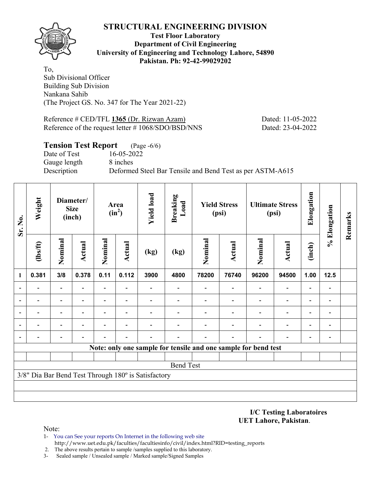

**Test Floor Laboratory Department of Civil Engineering University of Engineering and Technology Lahore, 54890 Pakistan. Ph: 92-42-99029202** 

To, Sub Divisional Officer Building Sub Division Nankana Sahib (The Project GS. No. 347 for The Year 2021-22)

Reference # CED/TFL **1365** (Dr. Rizwan Azam) Dated: 11-05-2022 Reference of the request letter # 1068/SDO/BSD/NNS Dated: 23-04-2022

### **Tension Test Report** (Page -6/6)

Date of Test 16-05-2022 Gauge length 8 inches

Description Deformed Steel Bar Tensile and Bend Test as per ASTM-A615

| Sr. No.                  | Weight                   |                                                                         | Diameter/<br><b>Size</b><br>(inch) |         | Area<br>$(in^2)$         | <b>Yield load</b>                                   | <b>Breaking</b><br>Load |         | <b>Yield Stress</b><br>(psi)                                   |                | <b>Ultimate Stress</b><br>(psi) | Elongation               | % Elongation                 | Remarks |
|--------------------------|--------------------------|-------------------------------------------------------------------------|------------------------------------|---------|--------------------------|-----------------------------------------------------|-------------------------|---------|----------------------------------------------------------------|----------------|---------------------------------|--------------------------|------------------------------|---------|
|                          | $\frac{2}{10}$           | Nominal                                                                 | <b>Actual</b>                      | Nominal | <b>Actual</b>            | (kg)                                                | (kg)                    | Nominal | <b>Actual</b>                                                  | Nominal        | <b>Actual</b>                   | (inch)                   |                              |         |
| 1                        | 0.381                    | 0.11<br>3/8<br>0.378<br>$\overline{a}$<br>$\overline{\phantom{a}}$<br>۰ |                                    |         |                          | 3900                                                | 4800                    | 78200   | 76740                                                          | 96200          | 94500                           | 1.00                     | 12.5                         |         |
| $\overline{\phantom{a}}$ |                          |                                                                         |                                    |         | $\overline{\phantom{0}}$ |                                                     |                         |         |                                                                | $\blacksquare$ | $\overline{\phantom{a}}$        |                          | $\qquad \qquad \blacksquare$ |         |
| $\overline{\phantom{a}}$ |                          |                                                                         |                                    |         |                          |                                                     |                         |         |                                                                |                | $\overline{\phantom{0}}$        |                          |                              |         |
| $\overline{\phantom{a}}$ |                          | $\blacksquare$                                                          |                                    |         | $\overline{\phantom{0}}$ |                                                     |                         |         |                                                                |                |                                 |                          | -                            |         |
| $\overline{\phantom{a}}$ | $\overline{\phantom{0}}$ | $\overline{\phantom{0}}$                                                | $\overline{\phantom{0}}$           |         | $\overline{\phantom{a}}$ |                                                     |                         |         |                                                                | ۰              | $\overline{\phantom{0}}$        | $\overline{\phantom{0}}$ | $\overline{\phantom{a}}$     |         |
| $\overline{\phantom{a}}$ |                          |                                                                         |                                    |         |                          |                                                     |                         |         |                                                                |                | $\overline{\phantom{0}}$        | $\overline{\phantom{0}}$ | $\overline{\phantom{0}}$     |         |
|                          |                          |                                                                         |                                    |         |                          |                                                     |                         |         | Note: only one sample for tensile and one sample for bend test |                |                                 |                          |                              |         |
|                          |                          |                                                                         |                                    |         |                          |                                                     |                         |         |                                                                |                |                                 |                          |                              |         |
|                          |                          |                                                                         |                                    |         |                          |                                                     | <b>Bend Test</b>        |         |                                                                |                |                                 |                          |                              |         |
|                          |                          |                                                                         |                                    |         |                          | 3/8" Dia Bar Bend Test Through 180° is Satisfactory |                         |         |                                                                |                |                                 |                          |                              |         |
|                          |                          |                                                                         |                                    |         |                          |                                                     |                         |         |                                                                |                |                                 |                          |                              |         |
|                          |                          |                                                                         |                                    |         |                          |                                                     |                         |         |                                                                |                |                                 |                          |                              |         |

**I/C Testing Laboratoires UET Lahore, Pakistan**.

- 1- You can See your reports On Internet in the following web site http://www.uet.edu.pk/faculties/facultiesinfo/civil/index.html?RID=testing\_reports
- 2. The above results pertain to sample /samples supplied to this laboratory.
- 3- Sealed sample / Unsealed sample / Marked sample/Signed Samples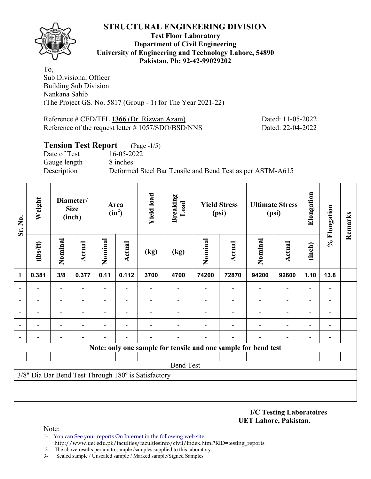

#### **Test Floor Laboratory Department of Civil Engineering University of Engineering and Technology Lahore, 54890 Pakistan. Ph: 92-42-99029202**

To, Sub Divisional Officer Building Sub Division Nankana Sahib (The Project GS. No. 5817 (Group - 1) for The Year 2021-22)

Reference # CED/TFL **1366** (Dr. Rizwan Azam) Dated: 11-05-2022 Reference of the request letter # 1057/SDO/BSD/NNS Dated: 22-04-2022

### **Tension Test Report** (Page -1/5) Date of Test 16-05-2022 Gauge length 8 inches Description Deformed Steel Bar Tensile and Bend Test as per ASTM-A615

| Sr. No.        | Weight         |                                                                                                                                    | Diameter/<br><b>Size</b><br>(inch) |                | Area<br>$(in^2)$         | <b>Yield load</b>                                   | <b>Breaking</b><br>Load |         | <b>Yield Stress</b><br>(psi)                                   |                          | <b>Ultimate Stress</b><br>(psi) | Elongation               | % Elongation             | Remarks |
|----------------|----------------|------------------------------------------------------------------------------------------------------------------------------------|------------------------------------|----------------|--------------------------|-----------------------------------------------------|-------------------------|---------|----------------------------------------------------------------|--------------------------|---------------------------------|--------------------------|--------------------------|---------|
|                | $\frac{2}{10}$ | Nominal                                                                                                                            | <b>Actual</b>                      | Nominal        | <b>Actual</b>            | (kg)                                                | (kg)                    | Nominal | <b>Actual</b>                                                  | Nominal                  | <b>Actual</b>                   | (inch)                   |                          |         |
| $\mathbf{1}$   | 0.381          | 3/8                                                                                                                                | 0.377                              | 0.11           | 0.112                    | 3700                                                | 4700                    | 74200   | 72870                                                          | 94200                    | 92600                           | 1.10                     | 13.8                     |         |
| $\blacksquare$ |                | $\blacksquare$<br>$\overline{\phantom{0}}$<br>$\qquad \qquad \blacksquare$<br>$\overline{\phantom{0}}$<br>$\overline{\phantom{0}}$ |                                    |                |                          |                                                     |                         |         |                                                                |                          |                                 |                          |                          |         |
| $\overline{a}$ |                |                                                                                                                                    |                                    |                | $\overline{\phantom{0}}$ |                                                     |                         |         | $\overline{\phantom{0}}$                                       | $\overline{\phantom{0}}$ | $\overline{\phantom{0}}$        | $\overline{\phantom{0}}$ | $\blacksquare$           |         |
|                |                | $\overline{a}$                                                                                                                     |                                    | $\overline{a}$ | $\overline{\phantom{0}}$ |                                                     |                         |         |                                                                |                          | $\overline{\phantom{0}}$        | $\overline{\phantom{0}}$ |                          |         |
|                |                | $\blacksquare$                                                                                                                     |                                    |                |                          |                                                     |                         |         |                                                                |                          |                                 | ٠                        |                          |         |
| $\overline{a}$ |                | -                                                                                                                                  |                                    |                |                          |                                                     |                         |         |                                                                |                          |                                 |                          | $\overline{\phantom{0}}$ |         |
|                |                |                                                                                                                                    |                                    |                |                          |                                                     |                         |         | Note: only one sample for tensile and one sample for bend test |                          |                                 |                          |                          |         |
|                |                |                                                                                                                                    |                                    |                |                          |                                                     |                         |         |                                                                |                          |                                 |                          |                          |         |
|                |                |                                                                                                                                    |                                    |                |                          |                                                     | <b>Bend Test</b>        |         |                                                                |                          |                                 |                          |                          |         |
|                |                |                                                                                                                                    |                                    |                |                          | 3/8" Dia Bar Bend Test Through 180° is Satisfactory |                         |         |                                                                |                          |                                 |                          |                          |         |
|                |                |                                                                                                                                    |                                    |                |                          |                                                     |                         |         |                                                                |                          |                                 |                          |                          |         |
|                |                |                                                                                                                                    |                                    |                |                          |                                                     |                         |         |                                                                |                          |                                 |                          |                          |         |

**I/C Testing Laboratoires UET Lahore, Pakistan**.

- 1- You can See your reports On Internet in the following web site http://www.uet.edu.pk/faculties/facultiesinfo/civil/index.html?RID=testing\_reports
- 2. The above results pertain to sample /samples supplied to this laboratory.
- 3- Sealed sample / Unsealed sample / Marked sample/Signed Samples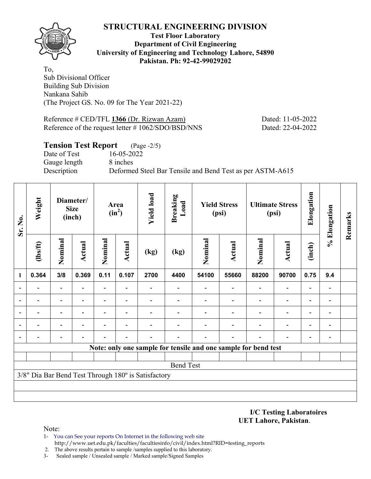

#### **Test Floor Laboratory Department of Civil Engineering University of Engineering and Technology Lahore, 54890 Pakistan. Ph: 92-42-99029202**

To, Sub Divisional Officer Building Sub Division Nankana Sahib (The Project GS. No. 09 for The Year 2021-22)

Reference # CED/TFL **1366** (Dr. Rizwan Azam) Dated: 11-05-2022 Reference of the request letter # 1062/SDO/BSD/NNS Dated: 22-04-2022

### **Tension Test Report** (Page -2/5)

Date of Test 16-05-2022 Gauge length 8 inches

Description Deformed Steel Bar Tensile and Bend Test as per ASTM-A615

| Sr. No.                  | Weight                       |                                                       | Diameter/<br><b>Size</b><br>(inch) |                | Area<br>$(in^2)$         | <b>Yield load</b>                                   | <b>Breaking</b><br>Load |         | <b>Yield Stress</b><br>(psi)                                   |         | <b>Ultimate Stress</b><br>(psi) | Elongation               | % Elongation             | Remarks |
|--------------------------|------------------------------|-------------------------------------------------------|------------------------------------|----------------|--------------------------|-----------------------------------------------------|-------------------------|---------|----------------------------------------------------------------|---------|---------------------------------|--------------------------|--------------------------|---------|
|                          | $\frac{2}{10}$               | Nominal                                               | Actual                             | Nominal        | Actual                   | (kg)                                                | (kg)                    | Nominal | <b>Actual</b>                                                  | Nominal | <b>Actual</b>                   | (inch)                   |                          |         |
| 1                        | 0.364                        | 0.11<br>3/8<br>0.369<br>$\overline{\phantom{0}}$<br>۰ |                                    |                | 0.107                    | 2700                                                | 4400                    | 54100   | 55660                                                          | 88200   | 90700                           | 0.75                     | 9.4                      |         |
| $\overline{\phantom{a}}$ |                              |                                                       |                                    | ۰              | $\overline{\phantom{0}}$ |                                                     |                         |         |                                                                |         | $\overline{\phantom{0}}$        |                          | $\overline{a}$           |         |
| $\overline{\phantom{0}}$ |                              |                                                       |                                    | $\blacksquare$ | $\overline{\phantom{0}}$ |                                                     |                         |         |                                                                |         | $\overline{\phantom{0}}$        |                          | $\qquad \qquad$          |         |
| $\overline{\phantom{0}}$ |                              |                                                       |                                    |                | $\overline{\phantom{0}}$ |                                                     |                         |         |                                                                |         |                                 |                          | $\overline{a}$           |         |
| $\overline{\phantom{a}}$ | $\qquad \qquad \blacksquare$ | -                                                     | $\overline{\phantom{0}}$           |                | $\blacksquare$           |                                                     |                         |         |                                                                |         | $\overline{\phantom{0}}$        | $\overline{\phantom{0}}$ | $\overline{\phantom{a}}$ |         |
| $\overline{\phantom{a}}$ |                              |                                                       |                                    |                |                          |                                                     |                         |         |                                                                |         |                                 | $\overline{\phantom{0}}$ | $\overline{\phantom{a}}$ |         |
|                          |                              |                                                       |                                    |                |                          |                                                     |                         |         | Note: only one sample for tensile and one sample for bend test |         |                                 |                          |                          |         |
|                          |                              |                                                       |                                    |                |                          |                                                     |                         |         |                                                                |         |                                 |                          |                          |         |
|                          |                              |                                                       |                                    |                |                          |                                                     | <b>Bend Test</b>        |         |                                                                |         |                                 |                          |                          |         |
|                          |                              |                                                       |                                    |                |                          | 3/8" Dia Bar Bend Test Through 180° is Satisfactory |                         |         |                                                                |         |                                 |                          |                          |         |
|                          |                              |                                                       |                                    |                |                          |                                                     |                         |         |                                                                |         |                                 |                          |                          |         |
|                          |                              |                                                       |                                    |                |                          |                                                     |                         |         |                                                                |         |                                 |                          |                          |         |

#### **I/C Testing Laboratoires UET Lahore, Pakistan**.

- 1- You can See your reports On Internet in the following web site http://www.uet.edu.pk/faculties/facultiesinfo/civil/index.html?RID=testing\_reports
- 2. The above results pertain to sample /samples supplied to this laboratory.
- 3- Sealed sample / Unsealed sample / Marked sample/Signed Samples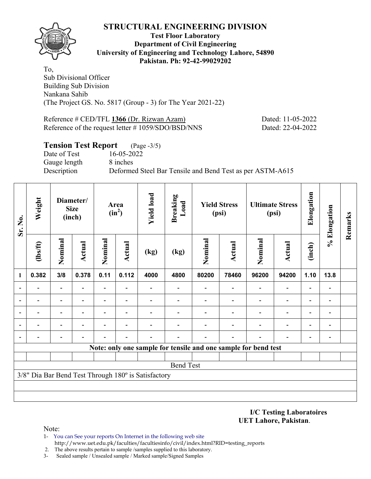

#### **Test Floor Laboratory Department of Civil Engineering University of Engineering and Technology Lahore, 54890 Pakistan. Ph: 92-42-99029202**

To, Sub Divisional Officer Building Sub Division Nankana Sahib (The Project GS. No. 5817 (Group - 3) for The Year 2021-22)

Reference # CED/TFL **1366** (Dr. Rizwan Azam) Dated: 11-05-2022 Reference of the request letter # 1059/SDO/BSD/NNS Dated: 22-04-2022

### **Tension Test Report** (Page -3/5) Date of Test 16-05-2022 Gauge length 8 inches Description Deformed Steel Bar Tensile and Bend Test as per ASTM-A615

| Sr. No.                  | Weight         |                              | Diameter/<br><b>Size</b><br>(inch) |                          | Area<br>$(in^2)$ | <b>Yield load</b>                                   | <b>Breaking</b><br>Load |         | <b>Yield Stress</b><br>(psi)                                   |         | <b>Ultimate Stress</b><br>(psi) | Elongation               | % Elongation   | Remarks |
|--------------------------|----------------|------------------------------|------------------------------------|--------------------------|------------------|-----------------------------------------------------|-------------------------|---------|----------------------------------------------------------------|---------|---------------------------------|--------------------------|----------------|---------|
|                          | $\frac{2}{10}$ | Nominal                      | Actual                             | Nominal                  | Actual           | (kg)                                                | (kg)                    | Nominal | <b>Actual</b>                                                  | Nominal | <b>Actual</b>                   | (inch)                   |                |         |
| 1                        | 0.382          | 0.11<br>3/8<br>0.378<br>-    |                                    |                          | 0.112            | 4000                                                | 4800                    | 80200   | 78460                                                          | 96200   | 94200                           | 1.10                     | 13.8           |         |
| $\blacksquare$           |                |                              |                                    |                          |                  |                                                     |                         |         |                                                                |         |                                 |                          |                |         |
|                          |                | -                            |                                    | ۰                        |                  |                                                     |                         |         |                                                                |         | $\overline{\phantom{0}}$        |                          |                |         |
| $\overline{\phantom{0}}$ |                | $\qquad \qquad \blacksquare$ |                                    | $\overline{\phantom{0}}$ |                  |                                                     |                         |         |                                                                |         | $\overline{\phantom{0}}$        | $\overline{\phantom{0}}$ | $\overline{a}$ |         |
|                          |                |                              |                                    |                          |                  |                                                     |                         |         |                                                                |         |                                 |                          |                |         |
|                          |                |                              |                                    |                          |                  |                                                     |                         |         |                                                                |         |                                 |                          | $\overline{a}$ |         |
|                          |                |                              |                                    |                          |                  |                                                     |                         |         | Note: only one sample for tensile and one sample for bend test |         |                                 |                          |                |         |
|                          |                |                              |                                    |                          |                  |                                                     |                         |         |                                                                |         |                                 |                          |                |         |
|                          |                |                              |                                    |                          |                  |                                                     | <b>Bend Test</b>        |         |                                                                |         |                                 |                          |                |         |
|                          |                |                              |                                    |                          |                  | 3/8" Dia Bar Bend Test Through 180° is Satisfactory |                         |         |                                                                |         |                                 |                          |                |         |
|                          |                |                              |                                    |                          |                  |                                                     |                         |         |                                                                |         |                                 |                          |                |         |
|                          |                |                              |                                    |                          |                  |                                                     |                         |         |                                                                |         |                                 |                          |                |         |

**I/C Testing Laboratoires UET Lahore, Pakistan**.

- 1- You can See your reports On Internet in the following web site http://www.uet.edu.pk/faculties/facultiesinfo/civil/index.html?RID=testing\_reports
- 2. The above results pertain to sample /samples supplied to this laboratory.
- 3- Sealed sample / Unsealed sample / Marked sample/Signed Samples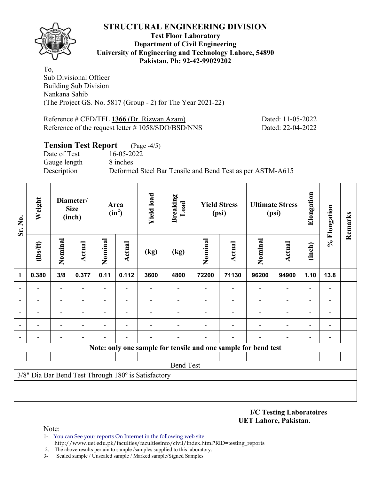

#### **Test Floor Laboratory Department of Civil Engineering University of Engineering and Technology Lahore, 54890 Pakistan. Ph: 92-42-99029202**

To, Sub Divisional Officer Building Sub Division Nankana Sahib (The Project GS. No. 5817 (Group - 2) for The Year 2021-22)

Reference # CED/TFL **1366** (Dr. Rizwan Azam) Dated: 11-05-2022 Reference of the request letter # 1058/SDO/BSD/NNS Dated: 22-04-2022

### **Tension Test Report** (Page -4/5) Date of Test 16-05-2022 Gauge length 8 inches Description Deformed Steel Bar Tensile and Bend Test as per ASTM-A615

| Sr. No.                  | Weight         |                                                                              | Diameter/<br><b>Size</b><br>(inch) |                          | Area<br>$(in^2)$         | <b>Yield load</b>                                   | <b>Breaking</b><br>Load |         | <b>Yield Stress</b><br>(psi)                                   |         | <b>Ultimate Stress</b><br>(psi) | Elongation               | % Elongation                 | Remarks |
|--------------------------|----------------|------------------------------------------------------------------------------|------------------------------------|--------------------------|--------------------------|-----------------------------------------------------|-------------------------|---------|----------------------------------------------------------------|---------|---------------------------------|--------------------------|------------------------------|---------|
|                          | $\frac{2}{10}$ | Nominal                                                                      | Actual                             | Nominal                  | <b>Actual</b>            | (kg)                                                | (kg)                    | Nominal | <b>Actual</b>                                                  | Nominal | <b>Actual</b>                   | (inch)                   |                              |         |
| 1                        | 0.380          | 0.11<br>3/8<br>0.377<br>$\overline{\phantom{0}}$<br>$\overline{\phantom{0}}$ |                                    |                          | 0.112                    | 3600                                                | 4800                    | 72200   | 71130                                                          | 96200   | 94900                           | 1.10                     | 13.8                         |         |
| $\overline{\phantom{0}}$ |                | $\overline{\phantom{0}}$<br>-                                                |                                    |                          |                          |                                                     |                         |         |                                                                |         | $\overline{\phantom{0}}$        |                          | $\qquad \qquad \blacksquare$ |         |
|                          |                |                                                                              |                                    |                          |                          |                                                     |                         |         |                                                                |         | $\overline{\phantom{0}}$        |                          | $\overline{\phantom{0}}$     |         |
|                          |                | $\qquad \qquad \blacksquare$                                                 | $\blacksquare$                     | $\overline{\phantom{0}}$ | $\overline{\phantom{0}}$ |                                                     |                         |         |                                                                |         | $\overline{\phantom{0}}$        | $\overline{\phantom{0}}$ | $\qquad \qquad \blacksquare$ |         |
|                          |                |                                                                              |                                    |                          |                          |                                                     |                         |         |                                                                |         |                                 |                          |                              |         |
| $\overline{a}$           |                |                                                                              |                                    |                          |                          |                                                     |                         |         |                                                                |         |                                 |                          | $\overline{a}$               |         |
|                          |                |                                                                              |                                    |                          |                          |                                                     |                         |         | Note: only one sample for tensile and one sample for bend test |         |                                 |                          |                              |         |
|                          |                |                                                                              |                                    |                          |                          |                                                     |                         |         |                                                                |         |                                 |                          |                              |         |
|                          |                |                                                                              |                                    |                          |                          |                                                     | <b>Bend Test</b>        |         |                                                                |         |                                 |                          |                              |         |
|                          |                |                                                                              |                                    |                          |                          | 3/8" Dia Bar Bend Test Through 180° is Satisfactory |                         |         |                                                                |         |                                 |                          |                              |         |
|                          |                |                                                                              |                                    |                          |                          |                                                     |                         |         |                                                                |         |                                 |                          |                              |         |
|                          |                |                                                                              |                                    |                          |                          |                                                     |                         |         |                                                                |         |                                 |                          |                              |         |

#### **I/C Testing Laboratoires UET Lahore, Pakistan**.

- 1- You can See your reports On Internet in the following web site http://www.uet.edu.pk/faculties/facultiesinfo/civil/index.html?RID=testing\_reports
- 2. The above results pertain to sample /samples supplied to this laboratory.
- 3- Sealed sample / Unsealed sample / Marked sample/Signed Samples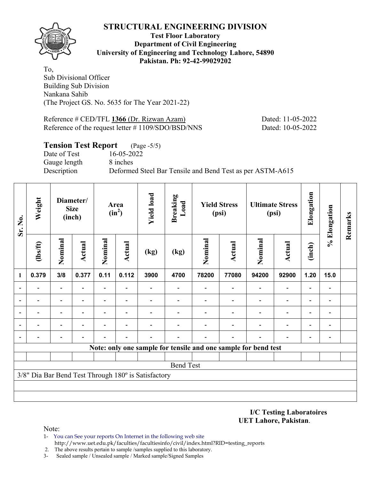

**Test Floor Laboratory Department of Civil Engineering University of Engineering and Technology Lahore, 54890 Pakistan. Ph: 92-42-99029202** 

To, Sub Divisional Officer Building Sub Division Nankana Sahib (The Project GS. No. 5635 for The Year 2021-22)

Reference # CED/TFL **1366** (Dr. Rizwan Azam) Dated: 11-05-2022 Reference of the request letter # 1109/SDO/BSD/NNS Dated: 10-05-2022

### **Tension Test Report** (Page -5/5)

Date of Test 16-05-2022 Gauge length 8 inches

Description Deformed Steel Bar Tensile and Bend Test as per ASTM-A615

| Sr. No.                  | Weight         |                                          | Diameter/<br><b>Size</b><br>(inch) |         | Area<br>$(in^2)$ | <b>Yield load</b>                                   | <b>Breaking</b><br>Load |         | <b>Yield Stress</b><br>(psi)                                   |                          | <b>Ultimate Stress</b><br>(psi) | Elongation               | % Elongation             | Remarks |
|--------------------------|----------------|------------------------------------------|------------------------------------|---------|------------------|-----------------------------------------------------|-------------------------|---------|----------------------------------------------------------------|--------------------------|---------------------------------|--------------------------|--------------------------|---------|
|                          | $\frac{2}{10}$ | Nominal                                  | <b>Actual</b>                      | Nominal | <b>Actual</b>    | (kg)                                                | (kg)                    | Nominal | <b>Actual</b>                                                  | Nominal                  | <b>Actual</b>                   | (inch)                   |                          |         |
| 1                        | 0.379          | 3/8<br>0.377<br>$\overline{\phantom{a}}$ |                                    | 0.11    | 0.112            | 3900                                                | 4700                    | 78200   | 77080                                                          | 94200                    | 92900                           | 1.20                     | 15.0                     |         |
|                          |                | $\overline{\phantom{a}}$                 |                                    |         |                  |                                                     |                         |         |                                                                | $\blacksquare$           | $\qquad \qquad \blacksquare$    |                          | $\overline{a}$           |         |
|                          |                |                                          |                                    |         |                  |                                                     |                         |         |                                                                |                          | $\overline{\phantom{0}}$        |                          | $\overline{a}$           |         |
| $\overline{\phantom{a}}$ |                | $\overline{\phantom{0}}$                 |                                    |         |                  |                                                     |                         |         |                                                                |                          |                                 |                          | $\blacksquare$           |         |
| $\overline{\phantom{a}}$ | $\blacksquare$ | $\blacksquare$                           | $\overline{\phantom{0}}$           |         | ٠                |                                                     |                         |         |                                                                | $\overline{\phantom{0}}$ | $\overline{a}$                  |                          | $\overline{\phantom{a}}$ |         |
| $\overline{\phantom{a}}$ |                |                                          |                                    |         |                  |                                                     |                         |         |                                                                |                          | $\overline{\phantom{0}}$        | $\overline{\phantom{0}}$ | $\blacksquare$           |         |
|                          |                |                                          |                                    |         |                  |                                                     |                         |         | Note: only one sample for tensile and one sample for bend test |                          |                                 |                          |                          |         |
|                          |                |                                          |                                    |         |                  |                                                     |                         |         |                                                                |                          |                                 |                          |                          |         |
|                          |                |                                          |                                    |         |                  |                                                     | <b>Bend Test</b>        |         |                                                                |                          |                                 |                          |                          |         |
|                          |                |                                          |                                    |         |                  | 3/8" Dia Bar Bend Test Through 180° is Satisfactory |                         |         |                                                                |                          |                                 |                          |                          |         |
|                          |                |                                          |                                    |         |                  |                                                     |                         |         |                                                                |                          |                                 |                          |                          |         |
|                          |                |                                          |                                    |         |                  |                                                     |                         |         |                                                                |                          |                                 |                          |                          |         |

**I/C Testing Laboratoires UET Lahore, Pakistan**.

- 1- You can See your reports On Internet in the following web site http://www.uet.edu.pk/faculties/facultiesinfo/civil/index.html?RID=testing\_reports
- 2. The above results pertain to sample /samples supplied to this laboratory.
- 3- Sealed sample / Unsealed sample / Marked sample/Signed Samples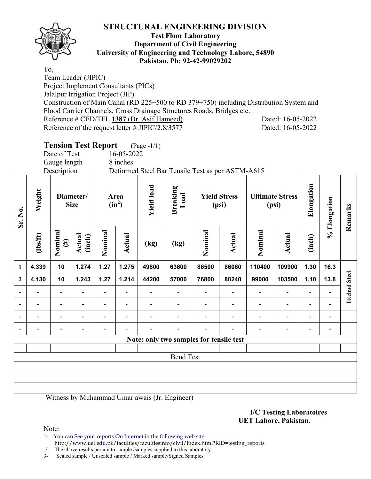

To,

**Sr. No.** 

### **Test Floor Laboratory Department of Civil Engineering University of Engineering and Technology Lahore, 54890 Pakistan. Ph: 92-42-99029202**

Team Leader (JIPIC) Project Implement Consultants (PICs) Jalalpur Irrigation Project (JIP) Construction of Main Canal (RD 225+500 to RD 379+750) including Distribution System and Flood Carrier Channels, Cross Drainage Structures Roads, Bridges etc. Reference # CED/TFL **1387** (Dr. Asif Hameed) Dated: 16-05-2022 Reference of the request letter # JIPIC/2.8/3577 Dated: 16-05-2022

|                          |                          |                              | <b>Tension Test Report</b> |                |                          | $(Page - 1/1)$    |                                                  |                |                              |                |                        |                          |              |                      |
|--------------------------|--------------------------|------------------------------|----------------------------|----------------|--------------------------|-------------------|--------------------------------------------------|----------------|------------------------------|----------------|------------------------|--------------------------|--------------|----------------------|
|                          |                          | Date of Test                 |                            |                | 16-05-2022               |                   |                                                  |                |                              |                |                        |                          |              |                      |
|                          |                          | Gauge length                 |                            |                | 8 inches                 |                   |                                                  |                |                              |                |                        |                          |              |                      |
|                          |                          | Description                  |                            |                |                          |                   | Deformed Steel Bar Tensile Test as per ASTM-A615 |                |                              |                |                        |                          |              |                      |
| Sr. No.                  | Weight                   | Diameter/<br><b>Size</b>     |                            |                | Area<br>$(in^2)$         | <b>Yield load</b> | <b>Breaking</b><br>Load                          |                | <b>Yield Stress</b><br>(psi) | (psi)          | <b>Ultimate Stress</b> | Elongation               | % Elongation | Remarks              |
|                          | $\frac{2}{10}$           | Nominal<br>$(\#)$            | Actual<br>(inch)           | Nominal        | Actual                   | (kg)              | (kg)                                             | Nominal        | Actual                       | Nominal        | Actual                 | (inch)                   |              |                      |
| $\mathbf{1}$             | 4.339                    | 10                           | 1.274                      | 1.27           | 1.275                    | 49800             | 63600                                            | 86500          | 86060                        | 110400         | 109900                 | 1.30                     | 16.3         |                      |
| $\overline{\mathbf{c}}$  | 4.130                    | 10                           | 1.243                      | 1.27           | 1.214                    | 44200             | 57000                                            | 76800          | 80240                        | 99000          | 103500                 | 1.10                     | 13.8         | <b>Ittehad Steel</b> |
| $\overline{\phantom{0}}$ | $\overline{\phantom{a}}$ | $\qquad \qquad \blacksquare$ | $\blacksquare$             |                | $\overline{\phantom{a}}$ |                   | $\overline{\phantom{a}}$                         | $\blacksquare$ | $\blacksquare$               | $\blacksquare$ | $\qquad \qquad -$      | $\overline{\phantom{0}}$ |              |                      |
| -                        |                          |                              |                            | $\blacksquare$ |                          |                   | $\overline{\phantom{0}}$                         | $\blacksquare$ | $\blacksquare$               | $\blacksquare$ | $\blacksquare$         | $\overline{\phantom{a}}$ |              |                      |
|                          |                          |                              |                            |                |                          |                   |                                                  |                |                              |                | $\overline{a}$         |                          |              |                      |
|                          |                          |                              |                            |                |                          |                   |                                                  |                |                              |                | $\overline{a}$         |                          |              |                      |
|                          |                          |                              |                            |                |                          |                   | Note: only two samples for tensile test          |                |                              |                |                        |                          |              |                      |
|                          |                          |                              |                            |                |                          |                   |                                                  |                |                              |                |                        |                          |              |                      |
|                          |                          |                              |                            |                |                          |                   | <b>Bend Test</b>                                 |                |                              |                |                        |                          |              |                      |
|                          |                          |                              |                            |                |                          |                   |                                                  |                |                              |                |                        |                          |              |                      |
|                          |                          |                              |                            |                |                          |                   |                                                  |                |                              |                |                        |                          |              |                      |
|                          |                          |                              |                            |                |                          |                   |                                                  |                |                              |                |                        |                          |              |                      |

Witness by Muhammad Umar awais (Jr. Engineer)

#### **I/C Testing Laboratoires UET Lahore, Pakistan**.

Note:

1- You can See your reports On Internet in the following web site http://www.uet.edu.pk/faculties/facultiesinfo/civil/index.html?RID=testing\_reports

2. The above results pertain to sample /samples supplied to this laboratory.